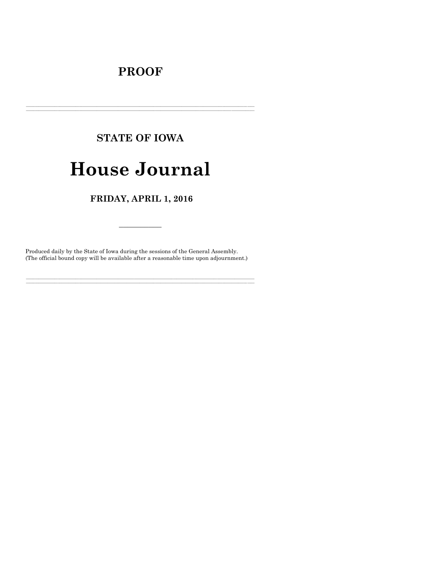# **PROOF**

## **STATE OF IOWA**

# **House Journal**

### FRIDAY, APRIL 1, 2016

Produced daily by the State of Iowa during the sessions of the General Assembly. (The official bound copy will be available after a reasonable time upon adjournment.)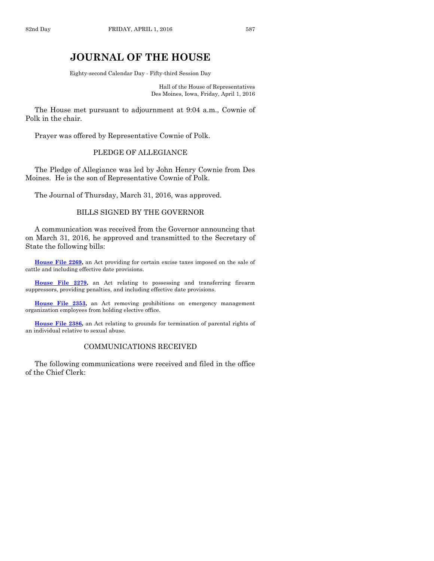## **JOURNAL OF THE HOUSE**

Eighty-second Calendar Day - Fifty-third Session Day

Hall of the House of Representatives Des Moines, Iowa, Friday, April 1, 2016

The House met pursuant to adjournment at 9:04 a.m., Cownie of Polk in the chair.

Prayer was offered by Representative Cownie of Polk.

#### PLEDGE OF ALLEGIANCE

The Pledge of Allegiance was led by John Henry Cownie from Des Moines. He is the son of Representative Cownie of Polk.

The Journal of Thursday, March 31, 2016, was approved.

#### BILLS SIGNED BY THE GOVERNOR

A communication was received from the Governor announcing that on March 31, 2016, he approved and transmitted to the Secretary of State the following bills:

**House [File 2269,](http://coolice.legis.iowa.gov/Cool-ICE/default.asp?Category=billinfo&Service=Billbook&frame=1&GA=86&hbill=HF2269)** an Act providing for certain excise taxes imposed on the sale of cattle and including effective date provisions.

**House [File 2279,](http://coolice.legis.iowa.gov/Cool-ICE/default.asp?Category=billinfo&Service=Billbook&frame=1&GA=86&hbill=HF2279)** an Act relating to possessing and transferring firearm suppressors, providing penalties, and including effective date provisions.

**House [File 2353,](http://coolice.legis.iowa.gov/Cool-ICE/default.asp?Category=billinfo&Service=Billbook&frame=1&GA=86&hbill=HF2353)** an Act removing prohibitions on emergency management organization employees from holding elective office.

**House [File 2386,](http://coolice.legis.iowa.gov/Cool-ICE/default.asp?Category=billinfo&Service=Billbook&frame=1&GA=86&hbill=HF2386)** an Act relating to grounds for termination of parental rights of an individual relative to sexual abuse.

#### COMMUNICATIONS RECEIVED

The following communications were received and filed in the office of the Chief Clerk: